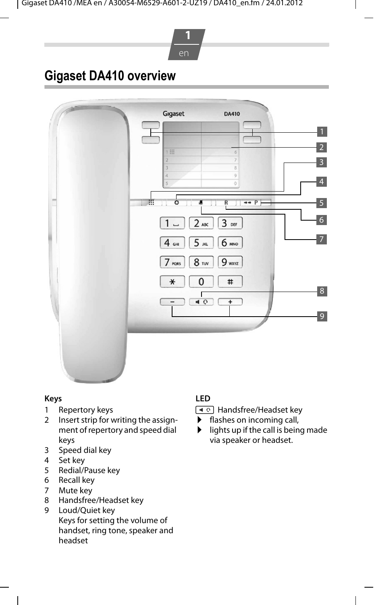#### **1** er

## **Gigaset DA410 overview**



#### **Keys**

- 1 Repertory keys<br>2 Insert strip for v
- Insert strip for writing the assignment of repertory and speed dial keys
- 3 Speed dial key
- 4 Set key<br>5 Redial/F
- 5 Redial/Pause key<br>6 Recall key
- Recall key
- 7 Mute key
- 8 Handsfree/Headset key<br>9 Loud/Quiet key
- Loud/Quiet key Keys for setting the volume of handset, ring tone, speaker and headset

#### **LED**

- $\overline{A \circ}$  Handsfree/Headset key
- $\overline{ }$  flashes on incoming call,<br> $\overline{ }$  lights up if the call is bein
- lights up if the call is being made via speaker or headset.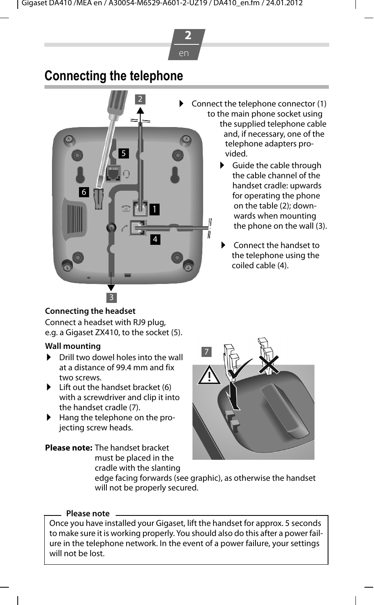## **Connecting the telephone**

**2**



- to the main phone socket using the supplied telephone cable
	- and, if necessary, one of the telephone adapters provided.
		- $\blacktriangleright$  Guide the cable through the cable channel of the handset cradle: upwards for operating the phone on the table (2); downwards when mounting the phone on the wall (3).
		- Connect the handset to the telephone using the coiled cable (4).

#### <span id="page-1-0"></span>**Connecting the headset**

Connect a headset with RJ9 plug, e.g. a Gigaset ZX410, to the socket (5).

#### **Wall mounting**

- $\triangleright$  Drill two dowel holes into the wall at a distance of 99.4 mm and fix two screws.
- $\blacktriangleright$  Lift out the handset bracket (6) with a screwdriver and clip it into the handset cradle (7).
- If Hang the telephone on the projecting screw heads.

**Please note:** The handset bracket must be placed in the cradle with the slanting



edge facing forwards (see graphic), as otherwise the handset will not be properly secured.

#### **Please note**

Once you have installed your Gigaset, lift the handset for approx. 5 seconds to make sure it is working properly. You should also do this after a power failure in the telephone network. In the event of a power failure, your settings will not be lost.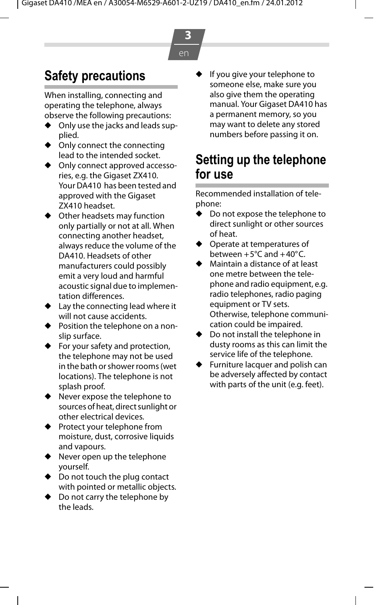**3** er

## **Safety precautions**

When installing, connecting and operating the telephone, always observe the following precautions:

- Only use the jacks and leads supplied.
- Only connect the connecting lead to the intended socket.
- Only connect approved accessories, e.g. the Gigaset ZX410. Your DA410 has been tested and approved with the Gigaset ZX410 headset.
- Other headsets may function only partially or not at all. When connecting another headset, always reduce the volume of the DA410. Headsets of other manufacturers could possibly emit a very loud and harmful acoustic signal due to implementation differences.
- Lay the connecting lead where it will not cause accidents.
- Position the telephone on a nonslip surface.
- For your safety and protection, the telephone may not be used in the bath or shower rooms (wet locations). The telephone is not splash proof.
- Never expose the telephone to sources of heat, direct sunlight or other electrical devices.
- Protect your telephone from moisture, dust, corrosive liquids and vapours.
- Never open up the telephone yourself.
- Do not touch the plug contact with pointed or metallic objects.
- Do not carry the telephone by the leads.

If you give your telephone to someone else, make sure you also give them the operating manual. Your Gigaset DA410 has a permanent memory, so you may want to delete any stored numbers before passing it on.

#### **Setting up the telephone for use**

Recommended installation of telephone:

- Do not expose the telephone to direct sunlight or other sources of heat.
- Operate at temperatures of between +5°C and +40°C.
- Maintain a distance of at least one metre between the telephone and radio equipment, e.g. radio telephones, radio paging equipment or TV sets. Otherwise, telephone communication could be impaired.
- Do not install the telephone in dusty rooms as this can limit the service life of the telephone.
- Furniture lacquer and polish can be adversely affected by contact with parts of the unit (e.g. feet).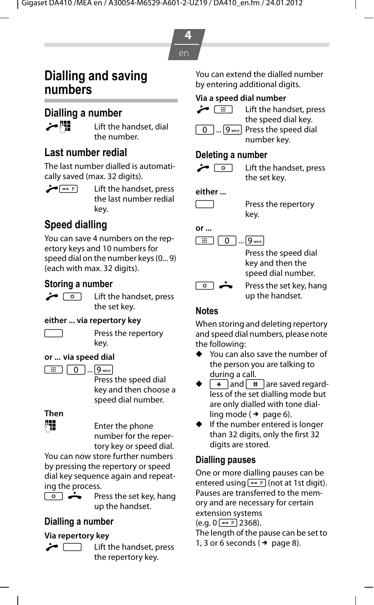## **Dialling and saving numbers**

#### **Dialling a number**

c~ Lift the handset, dial the number.

#### **Last number redial**

The last number dialled is automatically saved (max. 32 digits).



 $\leftarrow \rightarrow$  P Lift the handset, press the last number redial key.

## **Speed dialling**

You can save 4 numbers on the repertory keys and 10 numbers for speed dial on the number keys (0... 9) (each with max. 32 digits).

#### **Storing a number**

- 
- $\leftarrow$   $\boxed{\circ}$  Lift the handset, press the set key.

#### **either ... via repertory key**

Press the repertory key.

#### **or ... via speed dial**

 $\boxed{m}$   $\boxed{0}$  ...  $\boxed{9}$  wra

Press the speed dial key and then choose a speed dial number.

#### **Then**



 $\mathbb{F}$  Enter the phone number for the repertory key or speed dial.

You can now store further numbers by pressing the repertory or speed dial key sequence again and repeating the process.

**E** Press the set key, hang up the handset.

#### **Dialling a number**

**Via repertory key**



 $\Box$  Lift the handset, press the repertory key.

You can extend the dialled number by entering additional digits.

#### **Via a speed dial number**



 $\boxed{0}$  ...  $\boxed{9}$  wxvz Press the speed dial number key.

#### **Deleting a number**

 $\leftarrow$   $\begin{array}{c} \circ \\ \circ \end{array}$  Lift the handset, press the set key.

#### **either ...**

Press the repertory key.



 $\Box$  $\Box$  Q  $\Box$   $\Box$ 

Press the speed dial key and then the speed dial number.

 $\bullet$  Press the set key, hang up the handset.

#### **Notes**

When storing and deleting repertory and speed dial numbers, please note the following:

- You can also save the number of the person you are talking to during a call.
- $\sqrt{*}$  and  $\sqrt{+}$  are saved regardless of the set dialling mode but are only di[alled with to](#page-5-0)ne dialling mode ( $\rightarrow$  page 6).
- If the number entered is longer than 32 digits, only the first 32 digits are stored.

#### **Dialling pauses**

One or more dialling pauses can be entered using  $\overline{I^*}$  (not at 1st digit). Pauses are transferred to the memory and are necessary for certain extension systems

 $(e.g. 0 - P 2368)$ .

The length of the [pause can b](#page-7-0)e set to 1, 3 or 6 seconds ( $\rightarrow$  page 8).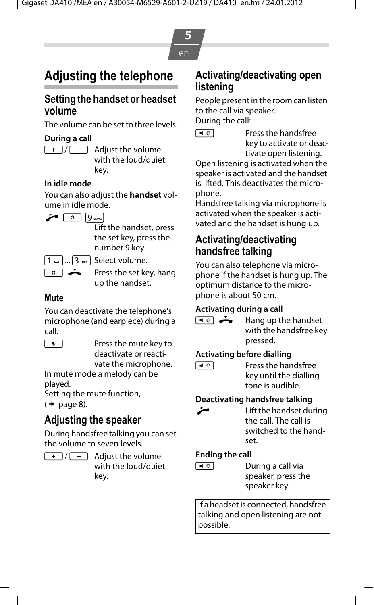## **Adjusting the telephone**

#### **Setting the handset or headset volume**

The volume can be set to three levels.

#### **During a call**

 $\boxed{+}/\boxed{-}$  Adjust the volume with the loud/quiet key.

#### **In idle mode**

You can also adjust the **handset** volume in idle mode.



Lift the handset, press the set key, press the number 9 key.

 $\boxed{1}$  ...  $\boxed{3}$  ser Select volume.

 $\overline{\bullet}$  Press the set key, hang up the handset.

#### **Mute**

You can deactivate the telephone's microphone (and earpiece) during a call.



 $\boxed{\bullet}$  Press the mute key to deactivate or reactivate the microphone.

In mute mode a melody can be played.

[Setting the](#page-7-0) mute function,  $($   $\rightarrow$  page 8).

#### **Adjusting the speaker**

During handsfree talking you can set the volume to seven levels.



 $\sqrt{1 + 2}$  Adjust the volume with the loud/quiet key.

#### **Activating/deactivating open listening**

People present in the room can listen to the call via speaker. During the call:

**A** Press the handsfree key to activate or deac-

tivate open listening. Open listening is activated when the speaker is activated and the handset is lifted. This deactivates the microphone.

Handsfree talking via microphone is activated when the speaker is activated and the handset is hung up.

#### <span id="page-4-0"></span>**Activating/deactivating handsfree talking**

You can also telephone via microphone if the handset is hung up. The optimum distance to the microphone is about 50 cm.

#### **Activating during a call**

 $\overline{A}$  Hang up the handset with the handsfree key pressed.

#### **Activating before dialling**

**A** Press the handsfree key until the dialling tone is audible.

#### **Deactivating handsfree talking**

- 
- $L$ ift the handset during the call. The call is switched to the handset.

#### **Ending the call**

- 
- **A** During a call via speaker, press the speaker key.

If a headset is connected, handsfree talking and open listening are not possible.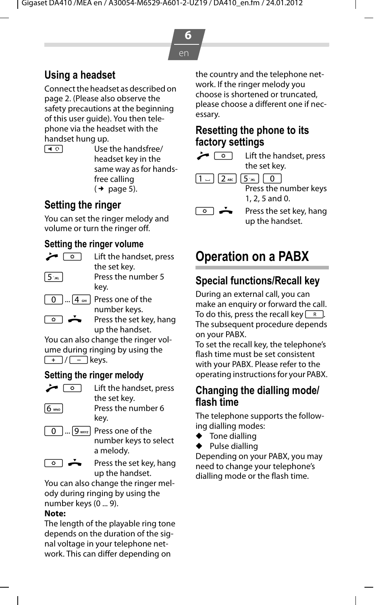# **6**

## **Using a headset**

Connect the headset as described on [page 2](#page-1-0). (Please also observe the safety precautions at the beginning of this user guide). You then telephone via the headset with the handset hung up.<br>[40] Use

Use the handsfree/ headset key in the same way as for hands[free calling](#page-4-0)   $($   $\rightarrow$  page 5).

#### **Setting the ringer**

You can set the ringer melody and volume or turn the ringer off.

#### **Setting the ringer volume**



- $\leftarrow$   $\circ$  Lift the handset, press the set key. 5 Press the number 5 key.
	- $\overline{0}$  ...  $\overline{4}$  and  $\overline{9}$  Press one of the number keys.
	- $\overline{\bullet}$  Press the set key, hang up the handset.

You can also change the ringer volume during ringing by using the  $\sqrt{1-\sqrt{1-\lambda}}$  keys.

#### **Setting the ringer melody**



- $\leftarrow$   $\begin{array}{ccc} \circ & \downarrow \\ \hline \end{array}$  Lift the handset, press the set key.  $6<sub>mm</sub>$  Press the number 6 key.
	- $\overline{\mathcal{Q}^{\,}_{\rm wxyz}}$  Press one of the number keys to select a melody.



 $\overline{\bullet}$  Press the set key, hang up the handset.

You can also change the ringer melody during ringing by using the number keys (0 ... 9).

#### **Note:**

The length of the playable ring tone depends on the duration of the signal voltage in your telephone network. This can differ depending on

the country and the telephone network. If the ringer melody you choose is shortened or truncated, please choose a different one if necessary.

#### **Resetting the phone to its factory settings**

 $\leftarrow$   $\boxed{\circ}$  Lift the handset, press the set key.



- **Press the number keys** 1, 2, 5 and 0.
- $\boxed{\circ}$  Press the set key, hang up the handset.

## **Operation on a PABX**

## **Special functions/Recall key**

During an external call, you can make an enquiry or forward the call. To do this, press the recall key  $\boxed{R}$ . The subsequent procedure depends on your PABX.

To set the recall key, the telephone's flash time must be set consistent with your PABX. Please refer to the operating instructions for your PABX.

#### <span id="page-5-0"></span>**Changing the dialling mode/ flash time**

The telephone supports the following dialling modes:

- $\bullet$  Tone dialling
- $\blacklozenge$  Pulse dialling

Depending on your PABX, you may need to change your telephone's dialling mode or the flash time.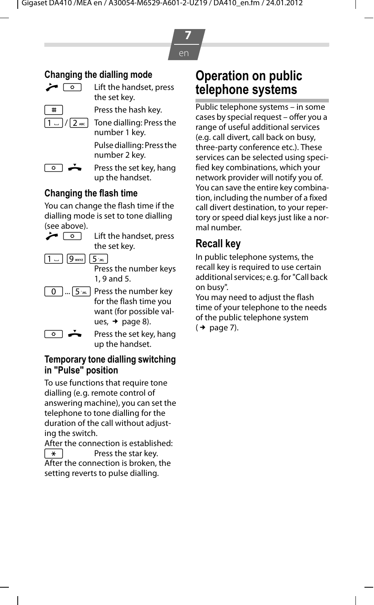#### **Changing the dialling mode**



 $\leftarrow$   $\Box$  Lift the handset, press the set key.

 $\boxed{1}$  ...

 $\overline{\text{#}}$  Press the hash key.  $1/\sqrt{2}$  Mex Tone dialling: Press the

> number 1 key. Pulse dialling: Press the number 2 key.

$$
\circ \mathbin{\dot{\bullet}}
$$

Press the set key, hang up the handset.

#### <span id="page-6-0"></span>**Changing the flash time**

You can change the flash time if the dialling mode is set to tone dialling (see above).



 $\leftarrow$   $\circ$  Lift the handset, press the set key.

 $\boxed{1}$  ...  $9$  wave  $5$   $\mu$ 

Press the number keys 1, 9 and 5.

 $\overline{0}$  ...  $\overline{5}$   $\overline{R}$  Press the number key for the flash time you want (for possible values,  $\rightarrow$  page 8).

$$
\textcolor{red}{\bullet}\mathbin{\dot{\bullet}}
$$

Press the set key, hang up the handset.

#### **Temporary tone dialling switching in "Pulse" position**

To use functions that require tone dialling (e.g. remote control of answering machine), you can set the telephone to tone dialling for the duration of the call without adjusting the switch.

After the connection is established:  $\overline{\ast}$  Press the star key. After the connection is broken, the setting reverts to pulse dialling.

#### **Operation on public telephone systems**

Public telephone systems – in some cases by special request – offer you a range of useful additional services (e.g. call divert, call back on busy, three-party conference etc.). These services can be selected using specified key combinations, which your network provider will notify you of. You can save the entire key combination, including the number of a fixed call divert destination, to your repertory or speed dial keys just like a normal number.

#### **Recall key**

In public telephone systems, the recall key is required to use certain additional services; e.g. for "Call back on busy".

You may need to adjust the flash time of your telephone to the needs [of the publi](#page-6-0)c telephone system  $($   $\rightarrow$  page 7).

**7**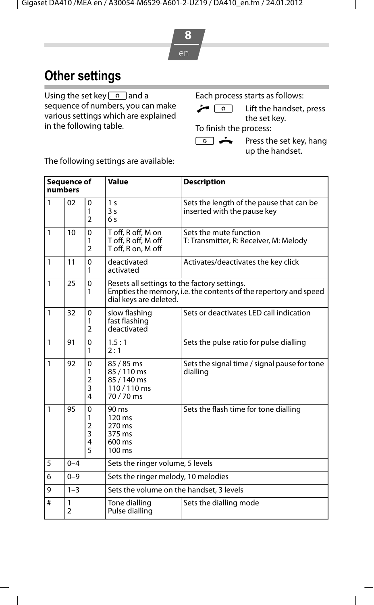## <span id="page-7-0"></span>**Other settings**

Using the set key  $\boxed{\circ}$  and a sequence of numbers, you can make various settings which are explained in the following table.

Each process starts as follows:

 $\leftarrow$   $\boxed{\circ}$  Lift the handset, press the set key.

To finish the process:

 $\bullet$  Press the set key, hang up the handset.

The following settings are available:

| Sequence of<br>numbers |                     |                                             | Value                                                                                                                                      | <b>Description</b>                                                      |  |
|------------------------|---------------------|---------------------------------------------|--------------------------------------------------------------------------------------------------------------------------------------------|-------------------------------------------------------------------------|--|
| $\overline{1}$         | 02                  | 0<br>1<br>$\overline{2}$                    | 1 <sub>s</sub><br>3s<br>6 <sub>s</sub>                                                                                                     | Sets the length of the pause that can be<br>inserted with the pause key |  |
| $\mathbf{1}$           | 10                  | 0<br>1<br>$\overline{a}$                    | T off, R off, M on<br>T off, R off, M off<br>T off, R on, M off                                                                            | Sets the mute function<br>T: Transmitter, R: Receiver, M: Melody        |  |
| $\mathbf{1}$           | 11                  | 0<br>1                                      | deactivated<br>activated                                                                                                                   | Activates/deactivates the key click                                     |  |
| $\mathbf{1}$           | 25                  | 0<br>1                                      | Resets all settings to the factory settings.<br>Empties the memory, i.e. the contents of the repertory and speed<br>dial keys are deleted. |                                                                         |  |
| $\mathbf{1}$           | 32                  | 0<br>1<br>$\overline{a}$                    | slow flashing<br>fast flashing<br>deactivated                                                                                              | Sets or deactivates LED call indication                                 |  |
| $\overline{1}$         | 91                  | $\Omega$<br>1                               | 1.5:1<br>2:1                                                                                                                               | Sets the pulse ratio for pulse dialling                                 |  |
| $\mathbf{1}$           | 92                  | 0<br>1<br>$\overline{\mathbf{c}}$<br>3<br>4 | 85/85 ms<br>85/110 ms<br>85 / 140 ms<br>110 / 110 ms<br>70/70 ms                                                                           | Sets the signal time / signal pause for tone<br>dialling                |  |
| $\mathbf{1}$           | 95                  | 0<br>1<br>2<br>3<br>4<br>5                  | $90 \text{ ms}$<br>$120 \text{ ms}$<br>270 ms<br>375 ms<br>600 ms<br>100 ms                                                                | Sets the flash time for tone dialling                                   |  |
| 5                      | $0 - 4$             |                                             | Sets the ringer volume, 5 levels                                                                                                           |                                                                         |  |
| 6                      | $0 - 9$             |                                             | Sets the ringer melody, 10 melodies                                                                                                        |                                                                         |  |
| 9                      | $1 - 3$             |                                             | Sets the volume on the handset. 3 levels                                                                                                   |                                                                         |  |
| #                      | 1<br>$\overline{a}$ |                                             | Tone dialling<br>Pulse dialling                                                                                                            | Sets the dialling mode                                                  |  |

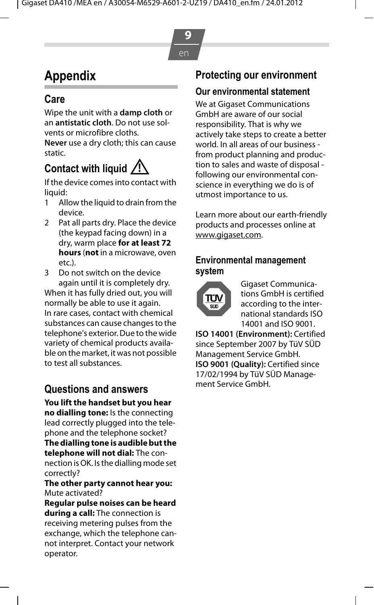## **Appendix**

#### **Care**

Wipe the unit with a **damp cloth** or an **antistatic cloth**. Do not use solvents or microfibre cloths.

**Never** use a dry cloth; this can cause static.

#### **Contact with liquid !**

If the device comes into contact with liquid:<br>1 All

- Allow the liquid to drain from the device.
- 2 Pat all parts dry. Place the device (the keypad facing down) in a dry, warm place **for at least 72 hours** (**not** in a microwave, oven etc.).
- 3 Do not switch on the device again until it is completely dry. When it has fully dried out, you will normally be able to use it again. In rare cases, contact with chemical substances can cause changes to the telephone's exterior. Due to the wide variety of chemical products available on the market, it was not possible to test all substances.

#### **Questions and answers**

**You lift the handset but you hear no dialling tone:** Is the connecting lead correctly plugged into the telephone and the telephone socket? **The dialling tone is audible but the telephone will not dial:** The connection is OK. Is the dialling mode set correctly?

#### **The other party cannot hear you:** Mute activated?

**Regular pulse noises can be heard during a call:** The connection is receiving metering pulses from the exchange, which the telephone cannot interpret. Contact your network operator.

#### **Protecting our environment**

#### **Our environmental statement**

We at Gigaset Communications GmbH are aware of our social responsibility. That is why we actively take steps to create a better world. In all areas of our business from product planning and production to sales and waste of disposal following our environmental conscience in everything we do is of utmost importance to us.

Learn more about our earth-friendly products and processes online at <www.gigaset.com>.

#### **Environmental management system**



Gigaset Communications GmbH is certified according to the international standards ISO 14001 and ISO 9001.

**ISO 14001 (Environment):** Certified since September 2007 by TüV SÜD Management Service GmbH. **ISO 9001 (Quality):** Certified since 17/02/1994 by TüV SÜD Management Service GmbH.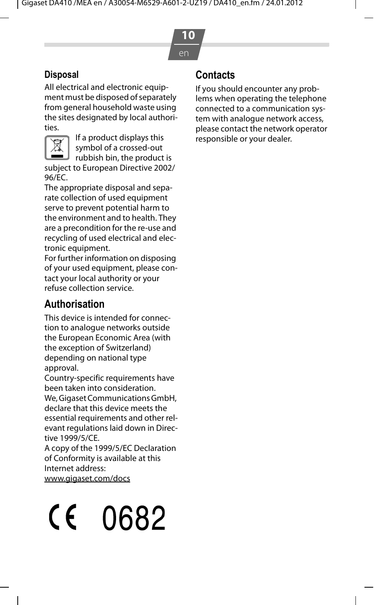**10**

#### **Disposal**

All electrical and electronic equipment must be disposed of separately from general household waste using the sites designated by local authorities.



If a product displays this symbol of a crossed-out rubbish bin, the product is

subject to European Directive 2002/ 96/EC.

The appropriate disposal and separate collection of used equipment serve to prevent potential harm to the environment and to health. They are a precondition for the re-use and recycling of used electrical and electronic equipment.

For further information on disposing of your used equipment, please contact your local authority or your refuse collection service.

#### **Authorisation**

This device is intended for connection to analogue networks outside the European Economic Area (with the exception of Switzerland) depending on national type approval.

Country-specific requirements have been taken into consideration. We, Gigaset Communications GmbH, declare that this device meets the essential requirements and other relevant regulations laid down in Directive 1999/5/CE.

A copy of the 1999/5/EC Declaration of Conformity is available at this Internet address:

[www.gigaset.com/docs](http://www.gigaset.com/docs)

# $CF$   $0682$

#### **Contacts**

If you should encounter any problems when operating the telephone connected to a communication system with analogue network access, please contact the network operator responsible or your dealer.